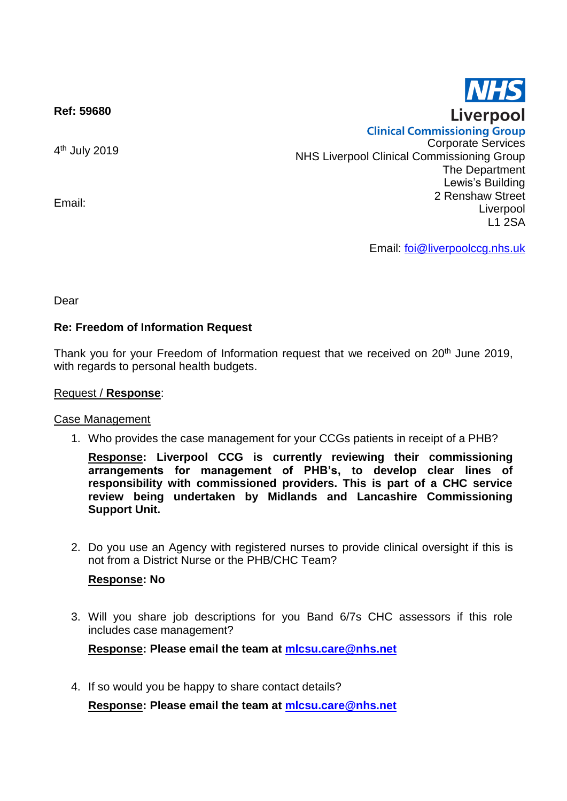**Ref: 59680**

4<sup>th</sup> July 2019

Email:

**Clinical Commissioning Group** Corporate Services NHS Liverpool Clinical Commissioning Group The Department Lewis's Building 2 Renshaw Street Liverpool L1 2SA

Email: [foi@liverpoolccg.nhs.uk](mailto:foi@liverpoolccg.nhs.uk)

Dear

### **Re: Freedom of Information Request**

Thank you for your Freedom of Information request that we received on 20<sup>th</sup> June 2019, with regards to personal health budgets.

#### Request / **Response**:

Case Management

1. Who provides the case management for your CCGs patients in receipt of a PHB?

**Response: Liverpool CCG is currently reviewing their commissioning arrangements for management of PHB's, to develop clear lines of responsibility with commissioned providers. This is part of a CHC service review being undertaken by Midlands and Lancashire Commissioning Support Unit.**

2. Do you use an Agency with registered nurses to provide clinical oversight if this is not from a District Nurse or the PHB/CHC Team?

### **Response: No**

3. Will you share job descriptions for you Band 6/7s CHC assessors if this role includes case management?

**Response: Please email the team at [mlcsu.care@nhs.net](mailto:mlcsu.care@nhs.net)**

4. If so would you be happy to share contact details?

**Response: Please email the team at [mlcsu.care@nhs.net](mailto:mlcsu.care@nhs.net)**

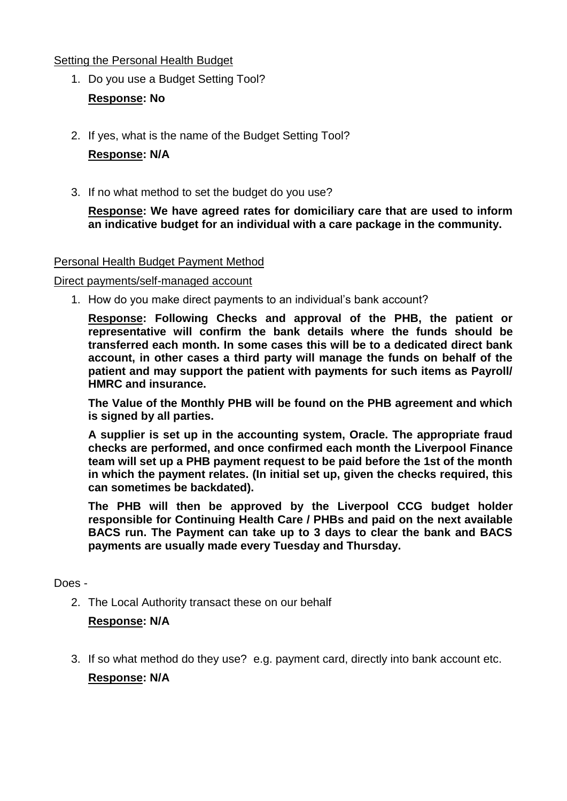### Setting the Personal Health Budget

- 1. Do you use a Budget Setting Tool? **Response: No**
- 2. If yes, what is the name of the Budget Setting Tool?

## **Response: N/A**

3. If no what method to set the budget do you use?

**Response: We have agreed rates for domiciliary care that are used to inform an indicative budget for an individual with a care package in the community.**

### Personal Health Budget Payment Method

### Direct payments/self-managed account

1. How do you make direct payments to an individual's bank account?

**Response: Following Checks and approval of the PHB, the patient or representative will confirm the bank details where the funds should be transferred each month. In some cases this will be to a dedicated direct bank account, in other cases a third party will manage the funds on behalf of the patient and may support the patient with payments for such items as Payroll/ HMRC and insurance.**

**The Value of the Monthly PHB will be found on the PHB agreement and which is signed by all parties.**

**A supplier is set up in the accounting system, Oracle. The appropriate fraud checks are performed, and once confirmed each month the Liverpool Finance team will set up a PHB payment request to be paid before the 1st of the month in which the payment relates. (In initial set up, given the checks required, this can sometimes be backdated).**

**The PHB will then be approved by the Liverpool CCG budget holder responsible for Continuing Health Care / PHBs and paid on the next available BACS run. The Payment can take up to 3 days to clear the bank and BACS payments are usually made every Tuesday and Thursday.**

Does -

2. The Local Authority transact these on our behalf

### **Response: N/A**

3. If so what method do they use? e.g. payment card, directly into bank account etc.

**Response: N/A**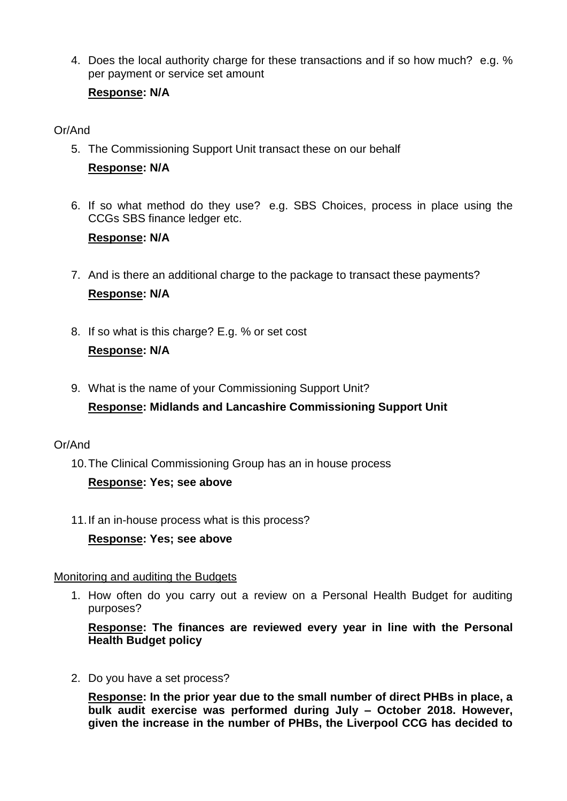4. Does the local authority charge for these transactions and if so how much? e.g. % per payment or service set amount

# **Response: N/A**

## Or/And

- 5. The Commissioning Support Unit transact these on our behalf **Response: N/A**
- 6. If so what method do they use? e.g. SBS Choices, process in place using the CCGs SBS finance ledger etc.

### **Response: N/A**

- 7. And is there an additional charge to the package to transact these payments? **Response: N/A**
- 8. If so what is this charge? E.g. % or set cost **Response: N/A**
- 9. What is the name of your Commissioning Support Unit?

# **Response: Midlands and Lancashire Commissioning Support Unit**

# Or/And

10.The Clinical Commissioning Group has an in house process

# **Response: Yes; see above**

11.If an in-house process what is this process?

**Response: Yes; see above**

### Monitoring and auditing the Budgets

1. How often do you carry out a review on a Personal Health Budget for auditing purposes?

**Response: The finances are reviewed every year in line with the Personal Health Budget policy**

2. Do you have a set process?

**Response: In the prior year due to the small number of direct PHBs in place, a bulk audit exercise was performed during July – October 2018. However, given the increase in the number of PHBs, the Liverpool CCG has decided to**